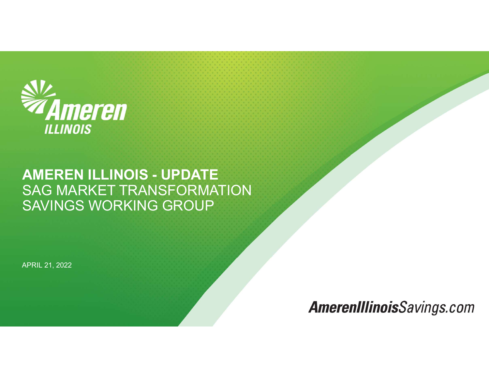

# **AMEREN ILLINOIS - UPDATE<br>AMEREN ILLINOIS - UPDATE<br>SAG MARKET TRANSFORMATION<br>SAVINGS WORKING GROUP SAGA MARKET TRANSFORMATION<br>AMEREN ILLINOIS - UPDATE<br>SAG MARKET TRANSFORMATION<br>SAVINGS WORKING GROUP SAV:<br>AMEREN ILLINOIS<br>AMEREN ILLINOIS - UPDATE<br>SAG MARKET TRANSFORMATION<br>SAVINGS WORKING GROUP**

APRIL 21, 2022

**AmerenIllinoisSavings.com**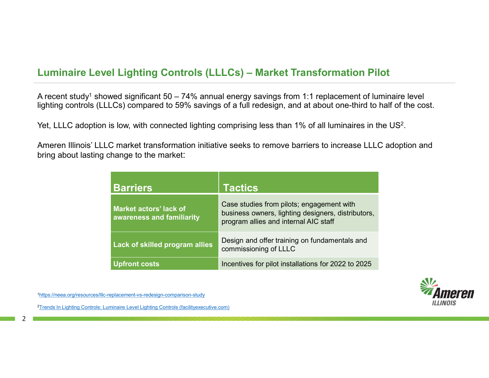**Luminaire Level Lighting Controls (LLLCs) – Market Transformation Pilot<br>A recent study<sup>1</sup> showed significant 50 – 74% annual energy savings from 1:1 replacement of luminaire level<br>lighting controls (LLLCs) compared to 59%** A recent study<sup>1</sup> showed significant  $50 - 74\%$  annual energy savings from 1:1 replacement of luminaire level evel Lighting Controls (LLLCs) – Market Transformation Pilot<br>showed significant 50 – 74% annual energy savings from 1:1 replacement of luminaire level<br>(LLLCs) compared to 59% savings of a full redesign, and at about one-th lighting controls (LLLCs) compared to 59% savings of a full redesign, and at about one-third to half of the cost.

Yet, LLLC adoption is low, with connected lighting comprising less than 1% of all luminaires in the US<sup>2</sup>. .

Ameren Illinois' LLLC market transformation initiative seeks to remove barriers to increase LLLC adoption and bring about lasting change to the market:

| I Lighting Controls (LLLCs) - Market Transformation Pilot<br>wed significant 50 – 74% annual energy savings from 1:1 replacement of luminaire level |                                                                                                                                                                                                    |  |  |
|-----------------------------------------------------------------------------------------------------------------------------------------------------|----------------------------------------------------------------------------------------------------------------------------------------------------------------------------------------------------|--|--|
|                                                                                                                                                     | LCs) compared to 59% savings of a full redesign, and at about one-third to half of the cost.<br>is low, with connected lighting comprising less than 1% of all luminaires in the US <sup>2</sup> . |  |  |
| hange to the market:                                                                                                                                | C market transformation initiative seeks to remove barriers to increase LLLC adoption and                                                                                                          |  |  |
| <b>Barriers</b>                                                                                                                                     | <b>Tactics</b>                                                                                                                                                                                     |  |  |
| <b>Market actors' lack of</b><br>awareness and familiarity                                                                                          | Case studies from pilots; engagement with<br>business owners, lighting designers, distributors,<br>program allies and internal AIC staff                                                           |  |  |
| Lack of skilled program allies                                                                                                                      | Design and offer training on fundamentals and<br>commissioning of LLLC                                                                                                                             |  |  |
| <b>Upfront costs</b>                                                                                                                                | Incentives for pilot installations for 2022 to 2025                                                                                                                                                |  |  |



1 https://neea.org/resources/lllc-replacement-vs-redesign-comparison-study

2Trends In Lighting Controls: Luminaire Level Lighting Controls (facilityexecutive.com)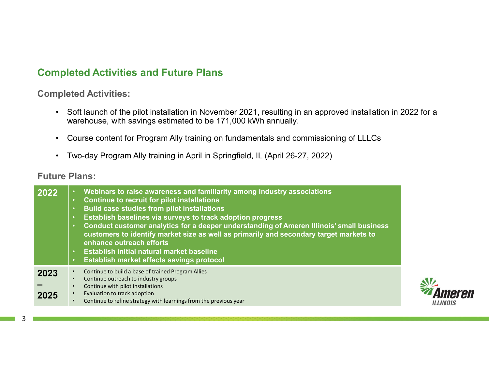# Completed Activities and Future Plans

Completed Activities:

- whered Activities and Future Plans<br>• Soft launch of the pilot installation in November 2021, resulting in an approved installation in 2022 for a<br>• Soft launch of the pilot installation in November 2021, resulting in an app warehouse, with savings estimated to be 171,000 kWh annually. **Propertive and Future Plans**<br>• Soft launch of the pilot installation in November 2021, resulting in an approved installation in 2022 for a<br>• Course content for Program Ally training on fundamentals and commissioning of LL **Provided Activities and Future Plans<br>• Soft launch of the pilot installation in November 2021, resulting in an approved installation in<br>• warehouse, with savings estimated to be 171,000 kWh annually.<br>• Course content for**
- 
- 

### Future Plans:

| 2022         | Webinars to raise awareness and familiarity among industry associations<br>$\bullet$<br><b>Continue to recruit for pilot installations</b><br>$\bullet$<br><b>Build case studies from pilot installations</b><br>$\bullet$<br>Establish baselines via surveys to track adoption progress<br>$\bullet$<br>Conduct customer analytics for a deeper understanding of Ameren Illinois' small business<br>customers to identify market size as well as primarily and secondary target markets to<br>enhance outreach efforts<br>Establish initial natural market baseline<br>$\bullet$<br>Establish market effects savings protocol |              |
|--------------|--------------------------------------------------------------------------------------------------------------------------------------------------------------------------------------------------------------------------------------------------------------------------------------------------------------------------------------------------------------------------------------------------------------------------------------------------------------------------------------------------------------------------------------------------------------------------------------------------------------------------------|--------------|
| 2023<br>2025 | Continue to build a base of trained Program Allies<br>Continue outreach to industry groups<br>Continue with pilot installations<br>Evaluation to track adoption<br>Continue to refine strategy with learnings from the previous year                                                                                                                                                                                                                                                                                                                                                                                           | <b>ILLIN</b> |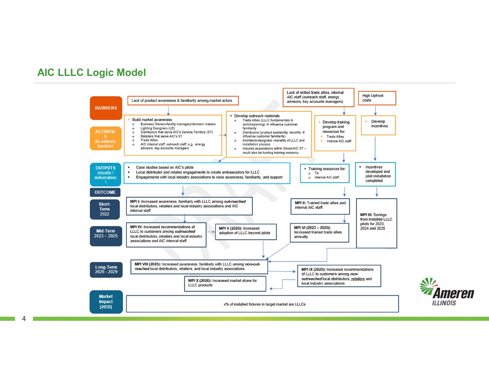## AIC LLLC Logic Model

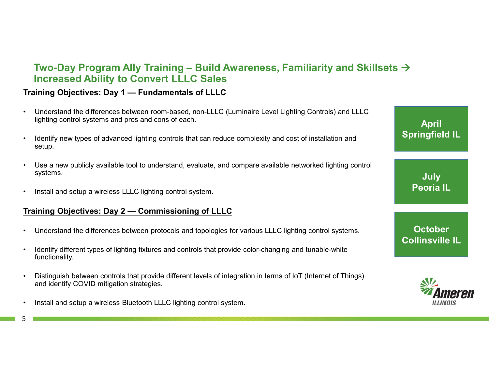# Two-Day Program Ally Training – Build Awareness, Familiarity and Skillsets  $\rightarrow$ <br>Increased Ability to Convert LLLC Sales<br>Anting Objectives: Day 1 — Fundamentals of LLLC Increased Ability to Convert LLLC Sales Two-Day Program Ally Training – Build Awareness, Familiarity and Sk<br>Increased Ability to Convert LLLC Sales<br>Training Objectives: Day 1 — Fundamentals of LLLC<br>Understand the differences between room-based, non-LLLC (Luminai **• Understand the differences between room-based, non-LLLC (Luminaire Level Lighting Controls) and LLLC**<br>
• Understand the differences between room-based, non-LLLC (Luminaire Level Lighting Controls) and LLLC<br>
• Understan • Ivaco Day Program Ally Training – Build Awareness, Familiarity and Skillsets →<br> **Increased Ability to Convert LLLC Sales**<br>
Training Objectives: Day 1 — Fundamentals of LLLC<br>
Understand the differences between room-bas • Use a new publicly available tool to understand, evaluate, and compare available networked lighting Controls) and Like Understand the differences between room-based, non-LLLC (Luminaire Level Lighting Controls) and LLLC Two-Day Program Ally Training – Build Awarenes<br>
Increased Ability to Convert LLLC Sales<br>
Training Objectives: Day 1 — Fundamentals of LLLC<br>
• Understand the differences between room-based, non-LLLC (Luminaire Le<br>
Ilghting Two-Day Program Ally Training – Build Awareness, Familiarity and Ski<br>
Increased Ability to Convert LLLC Sales<br>
Training Objectives: Day 1 — Fundamentals of LLLC<br>
Understand the differences between room-based, non-LLLC (Lum

- lighting control systems and pros and cons of each.
- setup.
- systems. • Understand the differences between room-based, non-LLLC (Luminaire Level Lighting Controls) and LLLC<br>• Understand the differences between room-based, non-LLLC (Luminaire Level Lighting Controls) and LLLC<br>• Understand the **Training Objectives: Day 1 — Fundamentals of LLLC**<br>
• Understand the differences between room-based, non-LLLC (Luminaire Level Lighting Controls) and LLLC<br>
• lighting control systems and pros and cons of each.<br>
• letenti ighting control systems and pros and cons of each.<br>
• Literatify new types of advanced lighting controls that can reduce complexity and cost of installation and<br>
• Use a new publicly available bol to understand, evaluate, • Use a new publicly available tool to understand, evaluate, and compare available ne<br>systems.<br>• Install and setup a wireless LLLC lighting control system.<br>• Install and setup a wireless LLLC lighting control system.<br>• Und
- 

- 
- functionality.
- and identify COVID mitigation strategies.
- 

April Springfield IL

> **July** Peoria IL

**October** Collinsville IL



5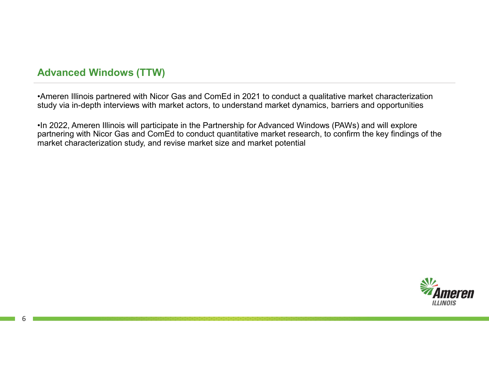# Advanced Windows (TTW)

•Ameren Illinois partnered with Nicor Gas and ComEd in 2021 to conduct a qualitative market characterization study via in-depth interviews with market actors, to understand market dynamics, barriers and opportunities

•In 2022, Ameren Illinois will participate in the Partnership for Advanced Windows (PAWs) and will explore partnering with Nicor Gas and ComEd to conduct quantitative market research, to confirm the key findings of the market characterization study, and revise market size and market potential

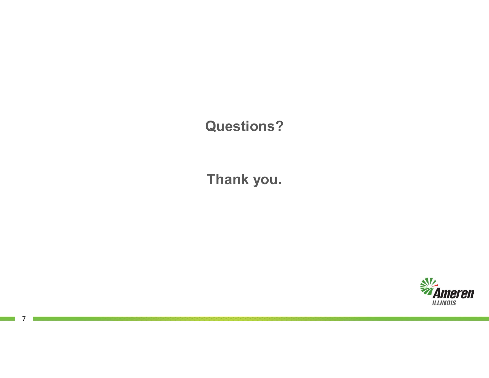# Questions?

Thank you.